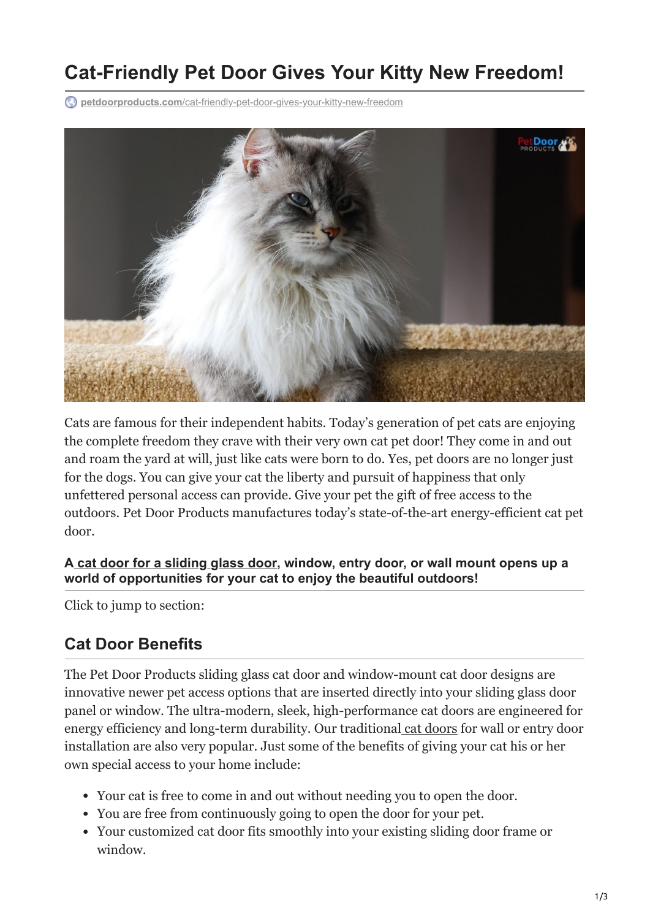# **Cat-Friendly Pet Door Gives Your Kitty New Freedom!**

**petdoorproducts.com**[/cat-friendly-pet-door-gives-your-kitty-new-freedom](https://petdoorproducts.com/cat-friendly-pet-door-gives-your-kitty-new-freedom/)



Cats are famous for their independent habits. Today's generation of pet cats are enjoying the complete freedom they crave with their very own cat pet door! They come in and out and roam the yard at will, just like cats were born to do. Yes, pet doors are no longer just for the dogs. You can give your cat the liberty and pursuit of happiness that only unfettered personal access can provide. Give your pet the gift of free access to the outdoors. Pet Door Products manufactures today's state-of-the-art energy-efficient cat pet door.

#### **A [cat door for a sliding glass door,](https://petdoorproducts.com/product/sliding-glass-cat-door/) window, entry door, or wall mount opens up a world of opportunities for your cat to enjoy the beautiful outdoors!**

Click to jump to section:

#### **Cat Door Benefits**

The Pet Door Products sliding glass cat door and window-mount cat door designs are innovative newer pet access options that are inserted directly into your sliding glass door panel or window. The ultra-modern, sleek, high-performance cat doors are engineered for energy efficiency and long-term durability. Our traditional [cat doors](https://petdoorproducts.com/find-a-dealer/) for wall or entry door installation are also very popular. Just some of the benefits of giving your cat his or her own special access to your home include:

- Your cat is free to come in and out without needing you to open the door.
- You are free from continuously going to open the door for your pet.
- Your customized cat door fits smoothly into your existing sliding door frame or window.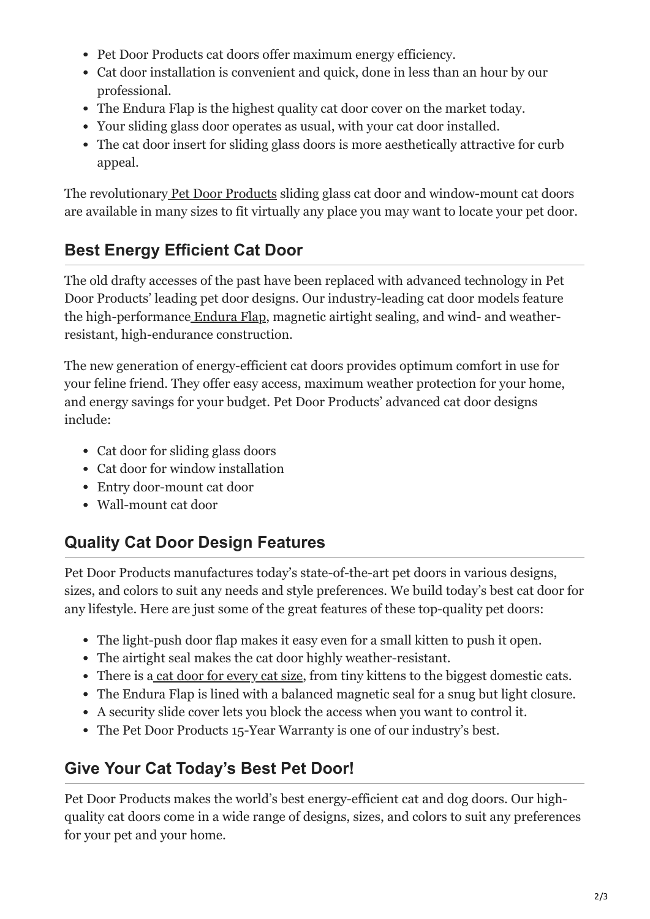- Pet Door Products cat doors offer maximum energy efficiency.
- Cat door installation is convenient and quick, done in less than an hour by our professional.
- The Endura Flap is the highest quality cat door cover on the market today.
- Your sliding glass door operates as usual, with your cat door installed.
- The cat door insert for sliding glass doors is more aesthetically attractive for curb appeal.

The revolutionary [Pet Door Products](https://petdoorproducts.com/about-us/) sliding glass cat door and window-mount cat doors are available in many sizes to fit virtually any place you may want to locate your pet door.

## **Best Energy Efficient Cat Door**

The old drafty accesses of the past have been replaced with advanced technology in Pet Door Products' leading pet door designs. Our industry-leading cat door models feature the high-performance [Endura Flap,](https://petdoorproducts.com/product/endura-flap-for-pet-doors/) magnetic airtight sealing, and wind- and weatherresistant, high-endurance construction.

The new generation of energy-efficient cat doors provides optimum comfort in use for your feline friend. They offer easy access, maximum weather protection for your home, and energy savings for your budget. Pet Door Products' advanced cat door designs include:

- Cat door for sliding glass doors
- Cat door for window installation
- Entry door-mount cat door
- Wall-mount cat door

### **Quality Cat Door Design Features**

Pet Door Products manufactures today's state-of-the-art pet doors in various designs, sizes, and colors to suit any needs and style preferences. We build today's best cat door for any lifestyle. Here are just some of the great features of these top-quality pet doors:

- The light-push door flap makes it easy even for a small kitten to push it open.
- The airtight seal makes the cat door highly weather-resistant.
- There is [a cat door for every cat size,](https://petdoorproducts.com/wp-content/uploads/2017/11/Measurement-Instructions-for-Pet-Door.pdf) from tiny kittens to the biggest domestic cats.
- The Endura Flap is lined with a balanced magnetic seal for a snug but light closure.
- A security slide cover lets you block the access when you want to control it.
- The Pet Door Products 15-Year Warranty is one of our industry's best.

### **Give Your Cat Today's Best Pet Door!**

Pet Door Products makes the world's best energy-efficient cat and dog doors. Our highquality cat doors come in a wide range of designs, sizes, and colors to suit any preferences for your pet and your home.